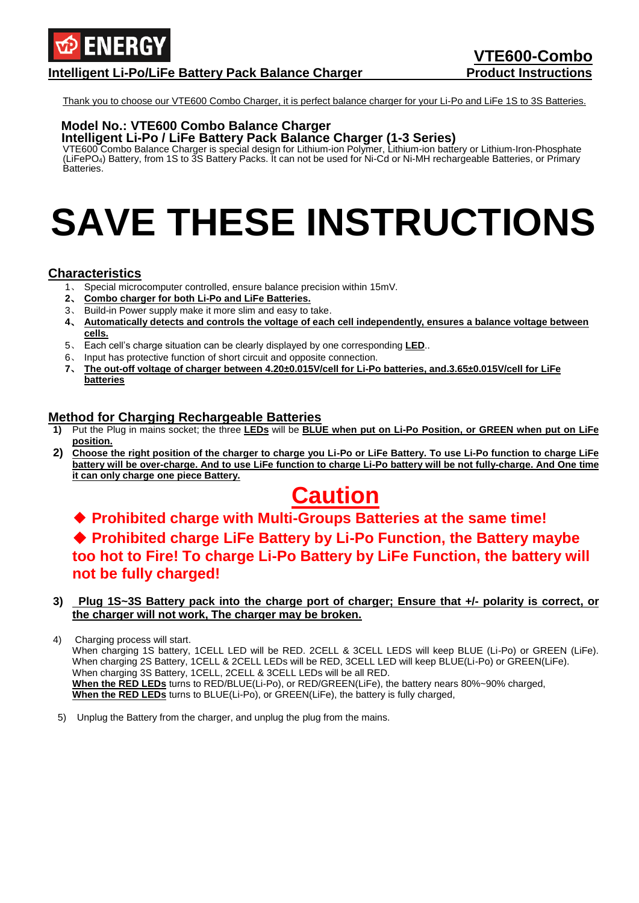

### **Intelligent Li-Po/LiFe Battery Pack Balance Charger Product Instructions**

Thank you to choose our VTE600 Combo Charger, it is perfect balance charger for your Li-Po and LiFe 1S to 3S Batteries.

### **Model No.: VTE600 Combo Balance Charger**

**Intelligent Li-Po / LiFe Battery Pack Balance Charger (1-3 Series)**

VTE600 Combo Balance Charger is special design for Lithium-ion Polymer, Lithium-ion battery or Lithium-Iron-Phosphate (LiFePO4) Battery, from 1S to 3S Battery Packs. It can not be used for Ni-Cd or Ni-MH rechargeable Batteries, or Primary Batteries.

# **SAVE THESE INSTRUCTIONS**

### **Characteristics**

- 1、 Special microcomputer controlled, ensure balance precision within 15mV.
- **2**、 **Combo charger for both Li-Po and LiFe Batteries.**
- 3、 Build-in Power supply make it more slim and easy to take.
- **4**、 **Automatically detects and controls the voltage of each cell independently, ensures a balance voltage between cells.**
- 5、 Each cell's charge situation can be clearly displayed by one corresponding **LED**..
- 6、 Input has protective function of short circuit and opposite connection.
- **7**、 **The out-off voltage of charger between 4.20±0.015V/cell for Li-Po batteries, and.3.65±0.015V/cell for LiFe batteries**

### **Method for Charging Rechargeable Batteries**

- **1)** Put the Plug in mains socket; the three **LEDs** will be **BLUE when put on Li-Po Position, or GREEN when put on LiFe position.**
- **2) Choose the right position of the charger to charge you Li-Po or LiFe Battery. To use Li-Po function to charge LiFe battery will be over-charge. And to use LiFe function to charge Li-Po battery will be not fully-charge. And One time it can only charge one piece Battery.**

### **Caution**

### ◆ **Prohibited charge with Multi-Groups Batteries at the same time!** ◆ Prohibited charge LiFe Battery by Li-Po Function, the Battery maybe **too hot to Fire! To charge Li-Po Battery by LiFe Function, the battery will not be fully charged!**

#### **3) Plug 1S~3S Battery pack into the charge port of charger; Ensure that +/- polarity is correct, or the charger will not work, The charger may be broken.**

4) Charging process will start. When charging 1S battery, 1CELL LED will be RED. 2CELL & 3CELL LEDS will keep BLUE (Li-Po) or GREEN (LiFe). When charging 2S Battery, 1CELL & 2CELL LEDs will be RED, 3CELL LED will keep BLUE(Li-Po) or GREEN(LiFe). When charging 3S Battery, 1CELL, 2CELL & 3CELL LEDs will be all RED. **When the RED LEDs** turns to RED/BLUE(Li-Po), or RED/GREEN(LiFe), the battery nears 80%~90% charged, **When the RED LEDs** turns to BLUE(Li-Po), or GREEN(LiFe), the battery is fully charged,

5) Unplug the Battery from the charger, and unplug the plug from the mains.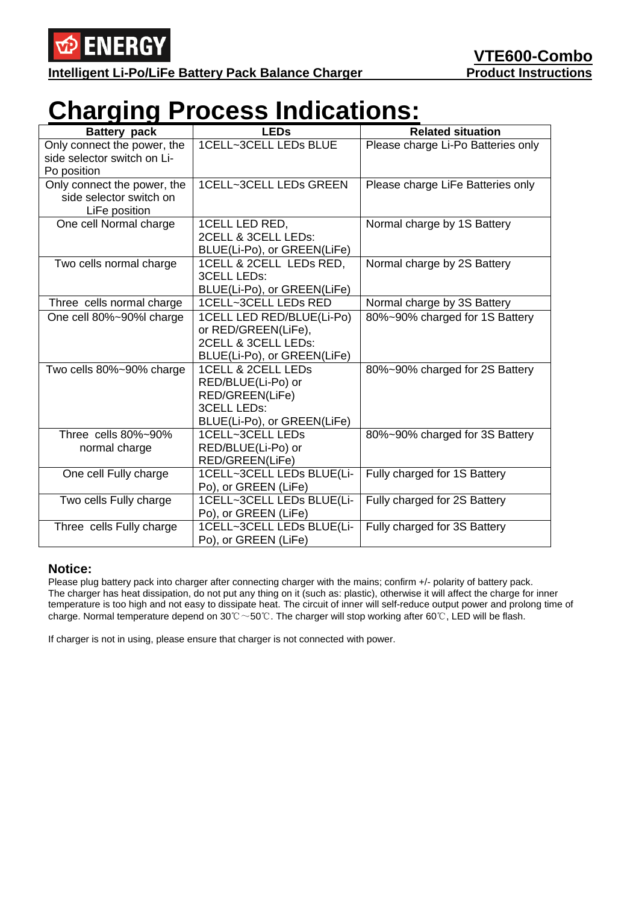

**Intelligent Li-Po/LiFe Battery Pack Balance Charger Product Instructions** 

## **Charging Process Indications:**

| <b>Battery pack</b>                                                     | <b>LEDs</b>                                                                                                      | <b>Related situation</b>           |
|-------------------------------------------------------------------------|------------------------------------------------------------------------------------------------------------------|------------------------------------|
| Only connect the power, the<br>side selector switch on Li-              | 1CELL~3CELL LEDs BLUE                                                                                            | Please charge Li-Po Batteries only |
| Po position                                                             |                                                                                                                  |                                    |
| Only connect the power, the<br>side selector switch on<br>LiFe position | 1CELL~3CELL LEDs GREEN                                                                                           | Please charge LiFe Batteries only  |
| One cell Normal charge                                                  | 1CELL LED RED,<br>2CELL & 3CELL LEDs:<br>BLUE(Li-Po), or GREEN(LiFe)                                             | Normal charge by 1S Battery        |
| Two cells normal charge                                                 | 1CELL & 2CELL LEDs RED,<br><b>3CELL LEDs:</b><br>BLUE(Li-Po), or GREEN(LiFe)                                     | Normal charge by 2S Battery        |
| Three cells normal charge                                               | 1CELL~3CELL LEDs RED                                                                                             | Normal charge by 3S Battery        |
| One cell 80%~90%l charge                                                | 1CELL LED RED/BLUE(Li-Po)<br>or RED/GREEN(LiFe),<br>2CELL & 3CELL LEDs:<br>BLUE(Li-Po), or GREEN(LiFe)           | 80%~90% charged for 1S Battery     |
| Two cells 80%~90% charge                                                | 1CELL & 2CELL LEDS<br>RED/BLUE(Li-Po) or<br>RED/GREEN(LiFe)<br><b>3CELL LEDS:</b><br>BLUE(Li-Po), or GREEN(LiFe) | 80%~90% charged for 2S Battery     |
| Three cells 80%~90%<br>normal charge                                    | 1CELL~3CELL LEDs<br>RED/BLUE(Li-Po) or<br>RED/GREEN(LiFe)                                                        | 80%~90% charged for 3S Battery     |
| One cell Fully charge                                                   | 1CELL~3CELL LEDs BLUE(Li-<br>Po), or GREEN (LiFe)                                                                | Fully charged for 1S Battery       |
| Two cells Fully charge                                                  | 1CELL~3CELL LEDs BLUE(Li-<br>Po), or GREEN (LiFe)                                                                | Fully charged for 2S Battery       |
| Three cells Fully charge                                                | 1CELL~3CELL LEDs BLUE(Li-<br>Po), or GREEN (LiFe)                                                                | Fully charged for 3S Battery       |

### **Notice:**

Please plug battery pack into charger after connecting charger with the mains; confirm +/- polarity of battery pack. The charger has heat dissipation, do not put any thing on it (such as: plastic), otherwise it will affect the charge for inner temperature is too high and not easy to dissipate heat. The circuit of inner will self-reduce output power and prolong time of charge. Normal temperature depend on 30℃~50℃. The charger will stop working after 60℃, LED will be flash.

If charger is not in using, please ensure that charger is not connected with power.